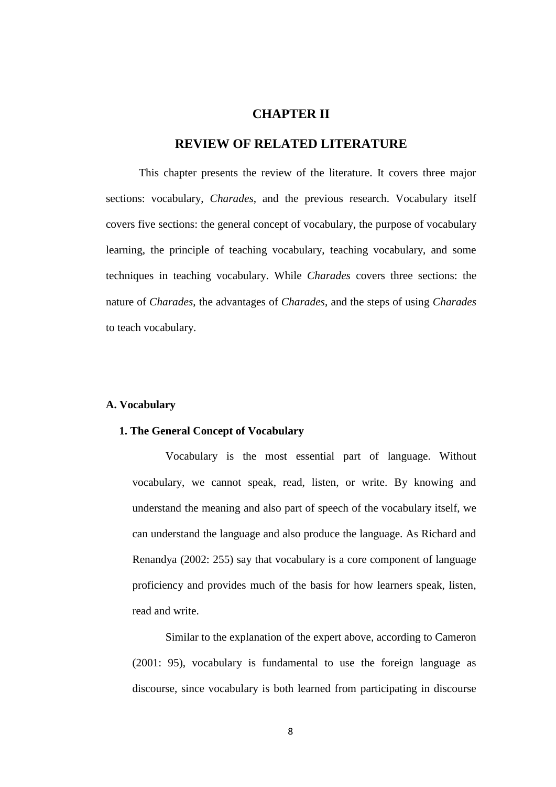# **CHAPTER II**

# **REVIEW OF RELATED LITERATURE**

This chapter presents the review of the literature. It covers three major sections: vocabulary, *Charades*, and the previous research. Vocabulary itself covers five sections: the general concept of vocabulary, the purpose of vocabulary learning, the principle of teaching vocabulary, teaching vocabulary, and some techniques in teaching vocabulary. While *Charades* covers three sections: the nature of *Charades*, the advantages of *Charades*, and the steps of using *Charades* to teach vocabulary.

## **A. Vocabulary**

#### **1. The General Concept of Vocabulary**

Vocabulary is the most essential part of language. Without vocabulary, we cannot speak, read, listen, or write. By knowing and understand the meaning and also part of speech of the vocabulary itself, we can understand the language and also produce the language. As Richard and Renandya (2002: 255) say that vocabulary is a core component of language proficiency and provides much of the basis for how learners speak, listen, read and write.

Similar to the explanation of the expert above, according to Cameron (2001: 95), vocabulary is fundamental to use the foreign language as discourse, since vocabulary is both learned from participating in discourse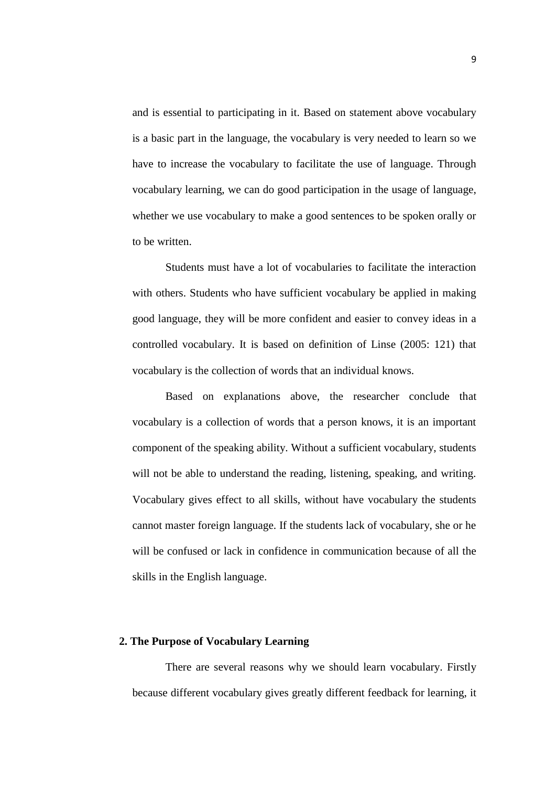and is essential to participating in it. Based on statement above vocabulary is a basic part in the language, the vocabulary is very needed to learn so we have to increase the vocabulary to facilitate the use of language. Through vocabulary learning, we can do good participation in the usage of language, whether we use vocabulary to make a good sentences to be spoken orally or to be written.

Students must have a lot of vocabularies to facilitate the interaction with others. Students who have sufficient vocabulary be applied in making good language, they will be more confident and easier to convey ideas in a controlled vocabulary. It is based on definition of Linse (2005: 121) that vocabulary is the collection of words that an individual knows.

Based on explanations above, the researcher conclude that vocabulary is a collection of words that a person knows, it is an important component of the speaking ability. Without a sufficient vocabulary, students will not be able to understand the reading, listening, speaking, and writing. Vocabulary gives effect to all skills, without have vocabulary the students cannot master foreign language. If the students lack of vocabulary, she or he will be confused or lack in confidence in communication because of all the skills in the English language.

# **2. The Purpose of Vocabulary Learning**

There are several reasons why we should learn vocabulary. Firstly because different vocabulary gives greatly different feedback for learning, it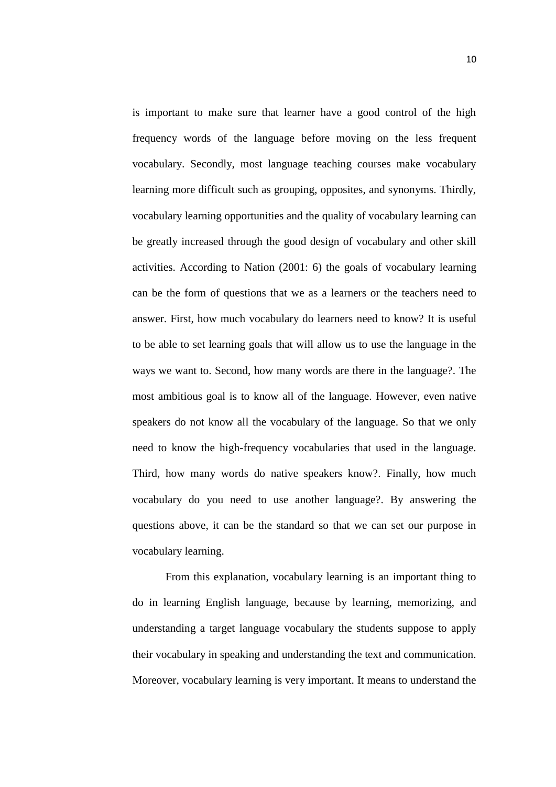is important to make sure that learner have a good control of the high frequency words of the language before moving on the less frequent vocabulary. Secondly, most language teaching courses make vocabulary learning more difficult such as grouping, opposites, and synonyms. Thirdly, vocabulary learning opportunities and the quality of vocabulary learning can be greatly increased through the good design of vocabulary and other skill activities. According to Nation (2001: 6) the goals of vocabulary learning can be the form of questions that we as a learners or the teachers need to answer. First, how much vocabulary do learners need to know? It is useful to be able to set learning goals that will allow us to use the language in the ways we want to. Second, how many words are there in the language?. The most ambitious goal is to know all of the language. However, even native speakers do not know all the vocabulary of the language. So that we only need to know the high-frequency vocabularies that used in the language. Third, how many words do native speakers know?. Finally, how much vocabulary do you need to use another language?. By answering the questions above, it can be the standard so that we can set our purpose in vocabulary learning.

From this explanation, vocabulary learning is an important thing to do in learning English language, because by learning, memorizing, and understanding a target language vocabulary the students suppose to apply their vocabulary in speaking and understanding the text and communication. Moreover, vocabulary learning is very important. It means to understand the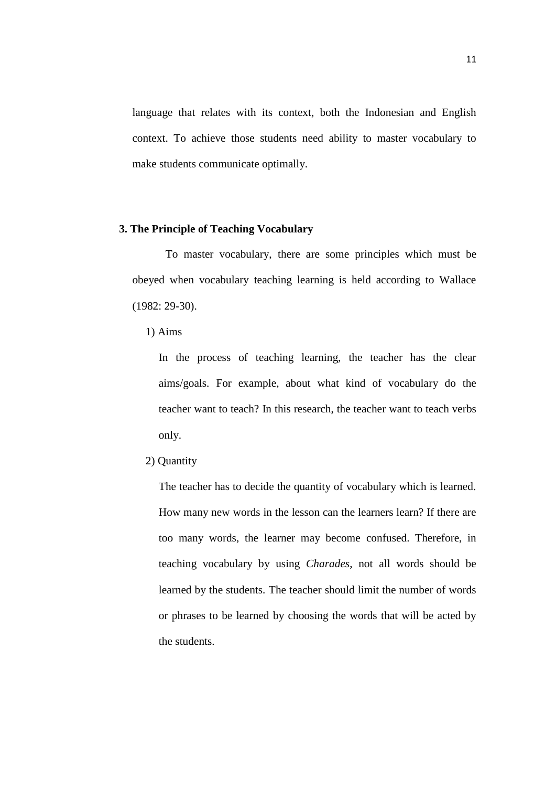language that relates with its context, both the Indonesian and English context. To achieve those students need ability to master vocabulary to make students communicate optimally.

### **3. The Principle of Teaching Vocabulary**

To master vocabulary, there are some principles which must be obeyed when vocabulary teaching learning is held according to Wallace (1982: 29-30).

1) Aims

In the process of teaching learning, the teacher has the clear aims/goals. For example, about what kind of vocabulary do the teacher want to teach? In this research, the teacher want to teach verbs only.

2) Quantity

The teacher has to decide the quantity of vocabulary which is learned. How many new words in the lesson can the learners learn? If there are too many words, the learner may become confused. Therefore, in teaching vocabulary by using *Charades*, not all words should be learned by the students. The teacher should limit the number of words or phrases to be learned by choosing the words that will be acted by the students.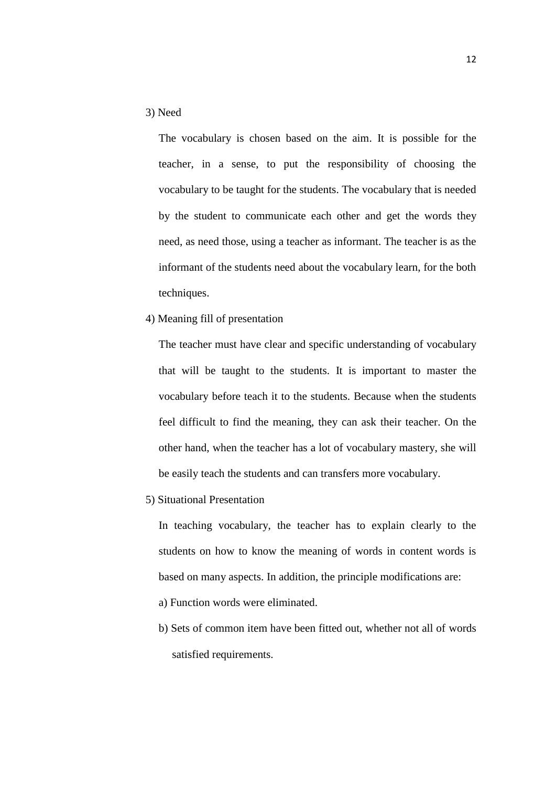## 3) Need

The vocabulary is chosen based on the aim. It is possible for the teacher, in a sense, to put the responsibility of choosing the vocabulary to be taught for the students. The vocabulary that is needed by the student to communicate each other and get the words they need, as need those, using a teacher as informant. The teacher is as the informant of the students need about the vocabulary learn, for the both techniques.

4) Meaning fill of presentation

The teacher must have clear and specific understanding of vocabulary that will be taught to the students. It is important to master the vocabulary before teach it to the students. Because when the students feel difficult to find the meaning, they can ask their teacher. On the other hand, when the teacher has a lot of vocabulary mastery, she will be easily teach the students and can transfers more vocabulary.

5) Situational Presentation

In teaching vocabulary, the teacher has to explain clearly to the students on how to know the meaning of words in content words is based on many aspects. In addition, the principle modifications are:

- a) Function words were eliminated.
- b) Sets of common item have been fitted out, whether not all of words satisfied requirements.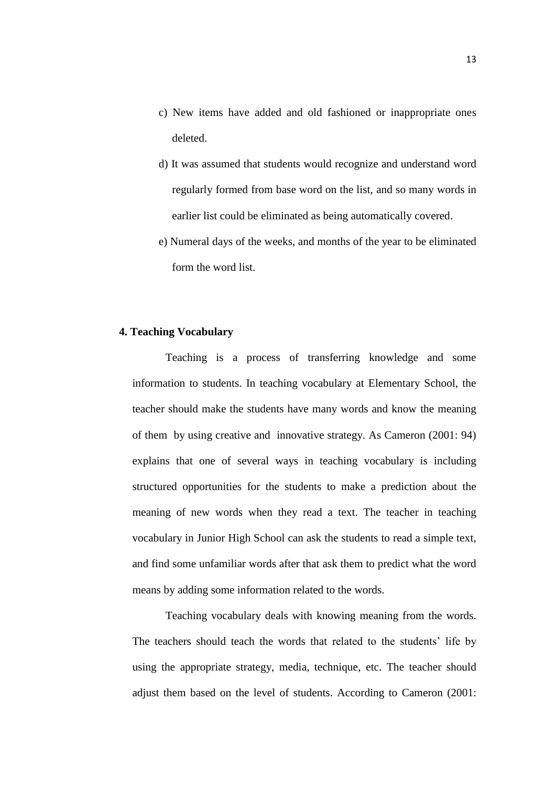- c) New items have added and old fashioned or inappropriate ones deleted.
- d) It was assumed that students would recognize and understand word regularly formed from base word on the list, and so many words in earlier list could be eliminated as being automatically covered.
- e) Numeral days of the weeks, and months of the year to be eliminated form the word list.

# **4. Teaching Vocabulary**

Teaching is a process of transferring knowledge and some information to students. In teaching vocabulary at Elementary School, the teacher should make the students have many words and know the meaning of them by using creative and innovative strategy. As Cameron (2001: 94) explains that one of several ways in teaching vocabulary is including structured opportunities for the students to make a prediction about the meaning of new words when they read a text. The teacher in teaching vocabulary in Junior High School can ask the students to read a simple text, and find some unfamiliar words after that ask them to predict what the word means by adding some information related to the words.

Teaching vocabulary deals with knowing meaning from the words. The teachers should teach the words that related to the students' life by using the appropriate strategy, media, technique, etc. The teacher should adjust them based on the level of students. According to Cameron (2001: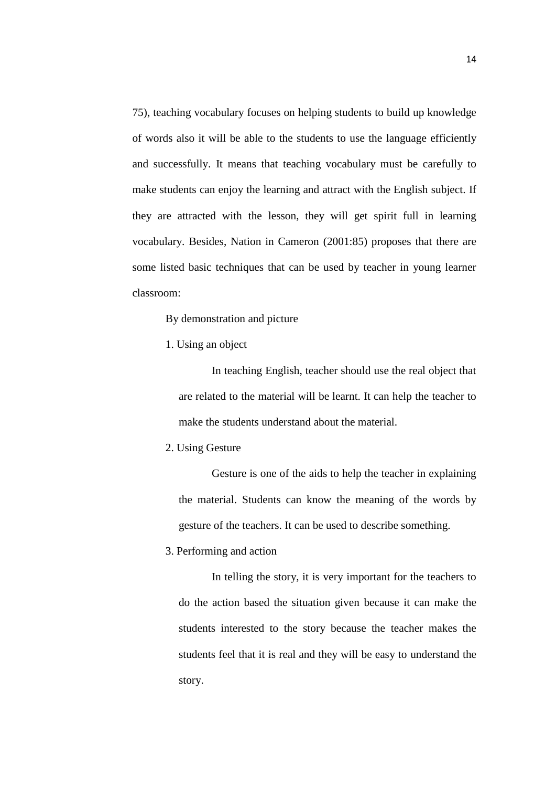75), teaching vocabulary focuses on helping students to build up knowledge of words also it will be able to the students to use the language efficiently and successfully. It means that teaching vocabulary must be carefully to make students can enjoy the learning and attract with the English subject. If they are attracted with the lesson, they will get spirit full in learning vocabulary. Besides, Nation in Cameron (2001:85) proposes that there are some listed basic techniques that can be used by teacher in young learner classroom:

By demonstration and picture

1. Using an object

In teaching English, teacher should use the real object that are related to the material will be learnt. It can help the teacher to make the students understand about the material.

2. Using Gesture

Gesture is one of the aids to help the teacher in explaining the material. Students can know the meaning of the words by gesture of the teachers. It can be used to describe something.

## 3. Performing and action

In telling the story, it is very important for the teachers to do the action based the situation given because it can make the students interested to the story because the teacher makes the students feel that it is real and they will be easy to understand the story.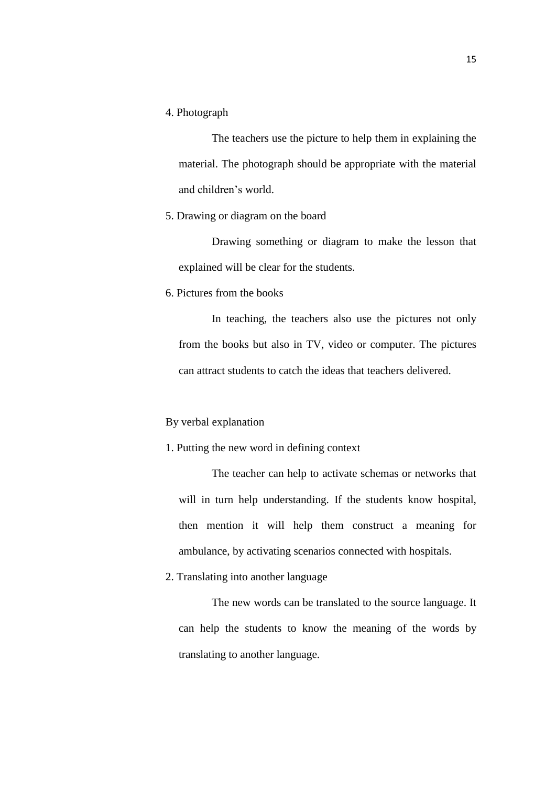4. Photograph

The teachers use the picture to help them in explaining the material. The photograph should be appropriate with the material and children's world.

# 5. Drawing or diagram on the board

Drawing something or diagram to make the lesson that explained will be clear for the students.

6. Pictures from the books

In teaching, the teachers also use the pictures not only from the books but also in TV, video or computer. The pictures can attract students to catch the ideas that teachers delivered.

### By verbal explanation

# 1. Putting the new word in defining context

The teacher can help to activate schemas or networks that will in turn help understanding. If the students know hospital, then mention it will help them construct a meaning for ambulance, by activating scenarios connected with hospitals.

2. Translating into another language

The new words can be translated to the source language. It can help the students to know the meaning of the words by translating to another language.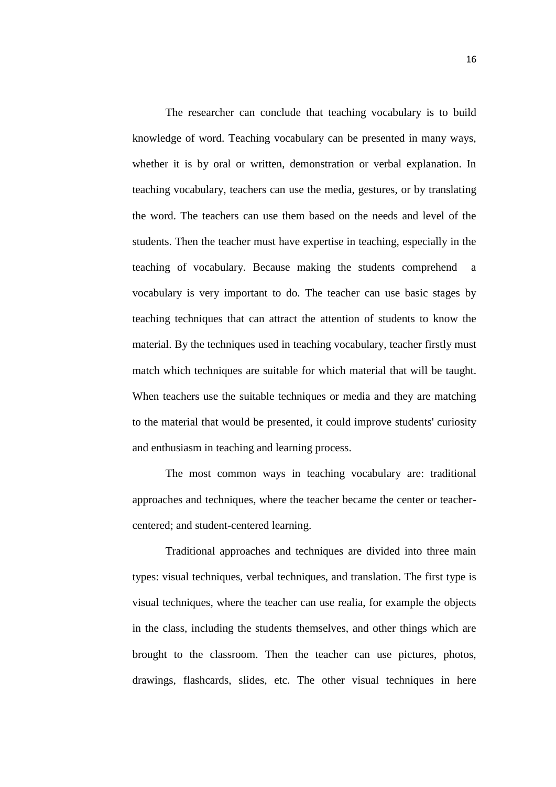The researcher can conclude that teaching vocabulary is to build knowledge of word. Teaching vocabulary can be presented in many ways, whether it is by oral or written, demonstration or verbal explanation. In teaching vocabulary, teachers can use the media, gestures, or by translating the word. The teachers can use them based on the needs and level of the students. Then the teacher must have expertise in teaching, especially in the teaching of vocabulary. Because making the students comprehend a vocabulary is very important to do. The teacher can use basic stages by teaching techniques that can attract the attention of students to know the material. By the techniques used in teaching vocabulary, teacher firstly must match which techniques are suitable for which material that will be taught. When teachers use the suitable techniques or media and they are matching to the material that would be presented, it could improve students' curiosity and enthusiasm in teaching and learning process.

The most common ways in teaching vocabulary are: traditional approaches and techniques, where the teacher became the center or teachercentered; and student-centered learning.

Traditional approaches and techniques are divided into three main types: visual techniques, verbal techniques, and translation. The first type is visual techniques, where the teacher can use realia, for example the objects in the class, including the students themselves, and other things which are brought to the classroom. Then the teacher can use pictures, photos, drawings, flashcards, slides, etc. The other visual techniques in here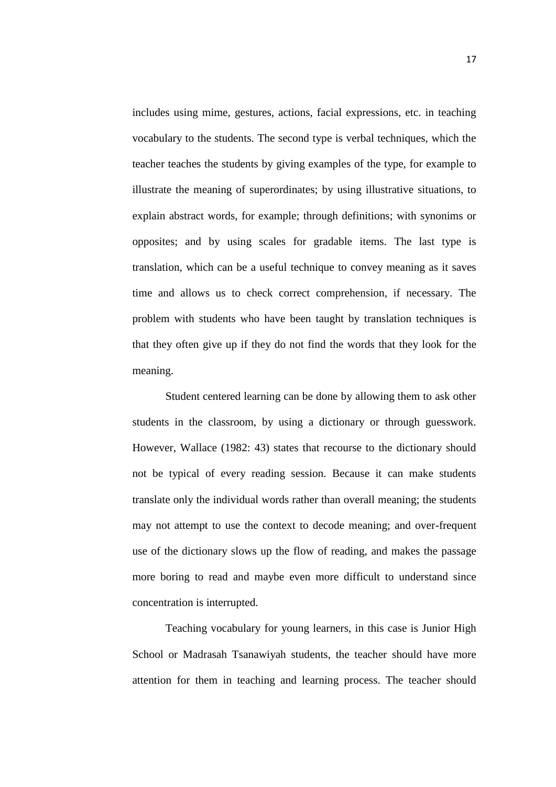includes using mime, gestures, actions, facial expressions, etc. in teaching vocabulary to the students. The second type is verbal techniques, which the teacher teaches the students by giving examples of the type, for example to illustrate the meaning of superordinates; by using illustrative situations, to explain abstract words, for example; through definitions; with synonims or opposites; and by using scales for gradable items. The last type is translation, which can be a useful technique to convey meaning as it saves time and allows us to check correct comprehension, if necessary. The problem with students who have been taught by translation techniques is that they often give up if they do not find the words that they look for the meaning.

Student centered learning can be done by allowing them to ask other students in the classroom, by using a dictionary or through guesswork. However, Wallace (1982: 43) states that recourse to the dictionary should not be typical of every reading session. Because it can make students translate only the individual words rather than overall meaning; the students may not attempt to use the context to decode meaning; and over-frequent use of the dictionary slows up the flow of reading, and makes the passage more boring to read and maybe even more difficult to understand since concentration is interrupted.

Teaching vocabulary for young learners, in this case is Junior High School or Madrasah Tsanawiyah students, the teacher should have more attention for them in teaching and learning process. The teacher should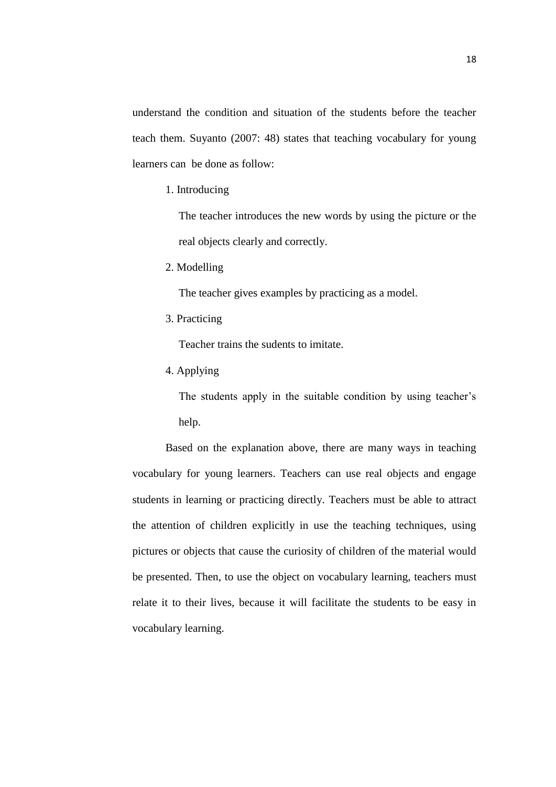understand the condition and situation of the students before the teacher teach them. Suyanto (2007: 48) states that teaching vocabulary for young learners can be done as follow:

1. Introducing

The teacher introduces the new words by using the picture or the real objects clearly and correctly.

2. Modelling

The teacher gives examples by practicing as a model.

3. Practicing

Teacher trains the sudents to imitate.

4. Applying

The students apply in the suitable condition by using teacher's help.

Based on the explanation above, there are many ways in teaching vocabulary for young learners. Teachers can use real objects and engage students in learning or practicing directly. Teachers must be able to attract the attention of children explicitly in use the teaching techniques, using pictures or objects that cause the curiosity of children of the material would be presented. Then, to use the object on vocabulary learning, teachers must relate it to their lives, because it will facilitate the students to be easy in vocabulary learning.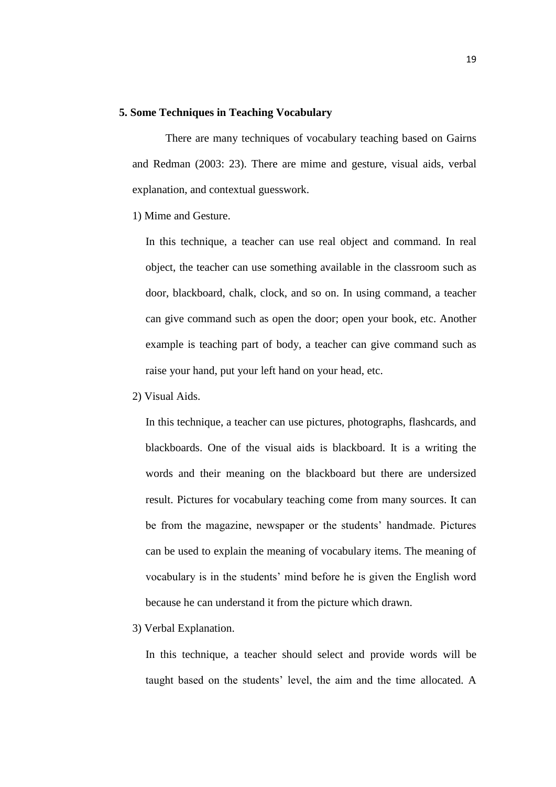### **5. Some Techniques in Teaching Vocabulary**

There are many techniques of vocabulary teaching based on Gairns and Redman (2003: 23). There are mime and gesture, visual aids, verbal explanation, and contextual guesswork.

1) Mime and Gesture.

In this technique, a teacher can use real object and command. In real object, the teacher can use something available in the classroom such as door, blackboard, chalk, clock, and so on. In using command, a teacher can give command such as open the door; open your book, etc. Another example is teaching part of body, a teacher can give command such as raise your hand, put your left hand on your head, etc.

2) Visual Aids.

In this technique, a teacher can use pictures, photographs, flashcards, and blackboards. One of the visual aids is blackboard. It is a writing the words and their meaning on the blackboard but there are undersized result. Pictures for vocabulary teaching come from many sources. It can be from the magazine, newspaper or the students' handmade. Pictures can be used to explain the meaning of vocabulary items. The meaning of vocabulary is in the students' mind before he is given the English word because he can understand it from the picture which drawn.

3) Verbal Explanation.

In this technique, a teacher should select and provide words will be taught based on the students' level, the aim and the time allocated. A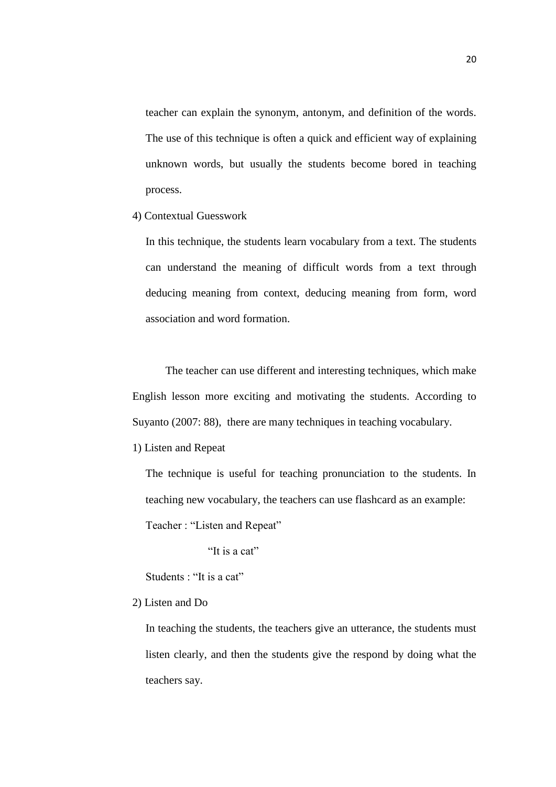teacher can explain the synonym, antonym, and definition of the words. The use of this technique is often a quick and efficient way of explaining unknown words, but usually the students become bored in teaching process.

4) Contextual Guesswork

In this technique, the students learn vocabulary from a text. The students can understand the meaning of difficult words from a text through deducing meaning from context, deducing meaning from form, word association and word formation.

The teacher can use different and interesting techniques, which make English lesson more exciting and motivating the students. According to Suyanto (2007: 88), there are many techniques in teaching vocabulary.

1) Listen and Repeat

The technique is useful for teaching pronunciation to the students. In teaching new vocabulary, the teachers can use flashcard as an example: Teacher : "Listen and Repeat"

"It is a cat"

Students : "It is a cat"

#### 2) Listen and Do

In teaching the students, the teachers give an utterance, the students must listen clearly, and then the students give the respond by doing what the teachers say.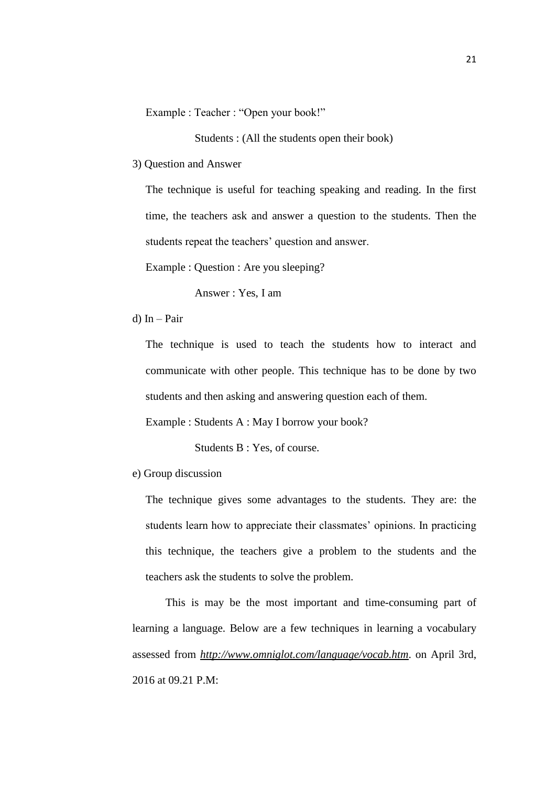Example : Teacher : "Open your book!"

Students : (All the students open their book)

3) Question and Answer

The technique is useful for teaching speaking and reading. In the first time, the teachers ask and answer a question to the students. Then the students repeat the teachers' question and answer.

Example : Question : Are you sleeping?

Answer : Yes, I am

d) In – Pair

The technique is used to teach the students how to interact and communicate with other people. This technique has to be done by two students and then asking and answering question each of them.

Example : Students A : May I borrow your book?

Students B : Yes, of course.

e) Group discussion

The technique gives some advantages to the students. They are: the students learn how to appreciate their classmates' opinions. In practicing this technique, the teachers give a problem to the students and the teachers ask the students to solve the problem.

This is may be the most important and time-consuming part of learning a language. Below are a few techniques in learning a vocabulary assessed from *<http://www.omniglot.com/language/vocab.htm>*. on April 3rd, 2016 at 09.21 P.M: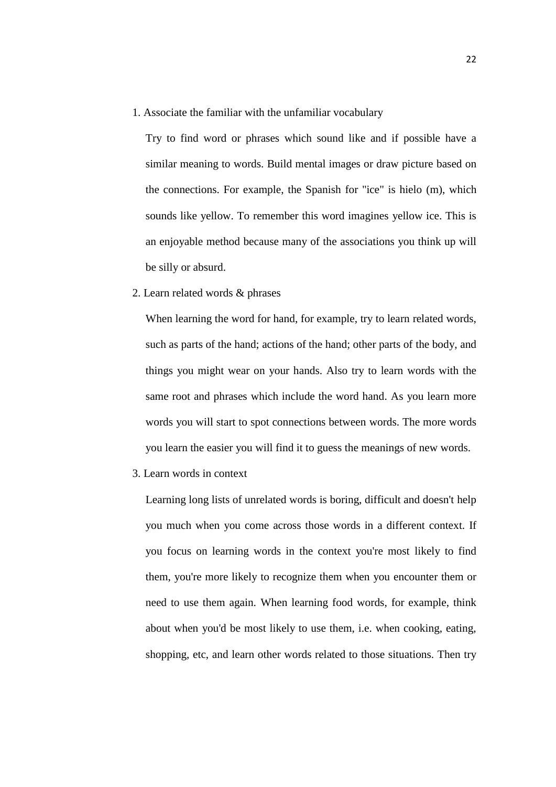1. Associate the familiar with the unfamiliar vocabulary

Try to find word or phrases which sound like and if possible have a similar meaning to words. Build mental images or draw picture based on the connections. For example, the Spanish for "ice" is hielo (m), which sounds like yellow. To remember this word imagines yellow ice. This is an enjoyable method because many of the associations you think up will be silly or absurd.

2. Learn related words & phrases

When learning the word for hand, for example, try to learn related words, such as parts of the hand; actions of the hand; other parts of the body, and things you might wear on your hands. Also try to learn words with the same root and phrases which include the word hand. As you learn more words you will start to spot connections between words. The more words you learn the easier you will find it to guess the meanings of new words.

3. Learn words in context

Learning long lists of unrelated words is boring, difficult and doesn't help you much when you come across those words in a different context. If you focus on learning words in the context you're most likely to find them, you're more likely to recognize them when you encounter them or need to use them again. When learning food words, for example, think about when you'd be most likely to use them, i.e. when cooking, eating, shopping, etc, and learn other words related to those situations. Then try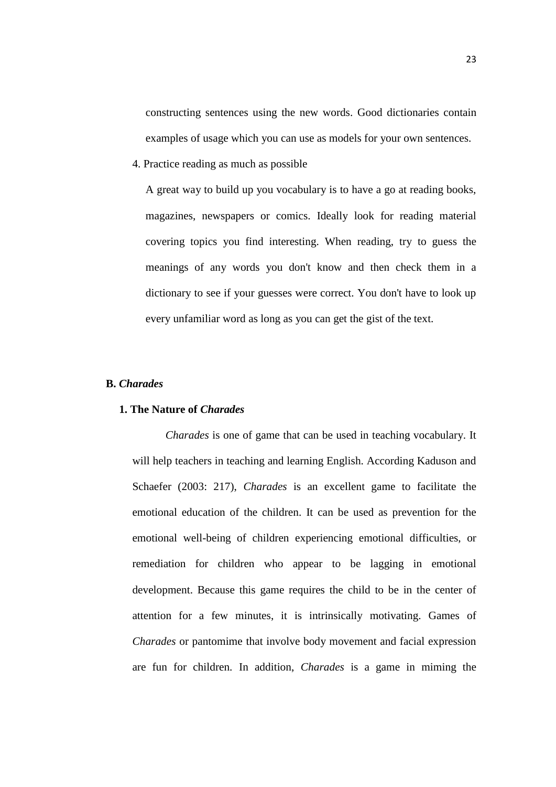constructing sentences using the new words. Good dictionaries contain examples of usage which you can use as models for your own sentences.

4. Practice reading as much as possible

A great way to build up you vocabulary is to have a go at reading books, magazines, newspapers or comics. Ideally look for reading material covering topics you find interesting. When reading, try to guess the meanings of any words you don't know and then check them in a dictionary to see if your guesses were correct. You don't have to look up every unfamiliar word as long as you can get the gist of the text.

### **B.** *Charades*

### **1. The Nature of** *Charades*

*Charades* is one of game that can be used in teaching vocabulary. It will help teachers in teaching and learning English. According Kaduson and Schaefer (2003: 217), *Charades* is an excellent game to facilitate the emotional education of the children. It can be used as prevention for the emotional well-being of children experiencing emotional difficulties, or remediation for children who appear to be lagging in emotional development. Because this game requires the child to be in the center of attention for a few minutes, it is intrinsically motivating. Games of *Charades* or pantomime that involve body movement and facial expression are fun for children. In addition, *Charades* is a game in miming the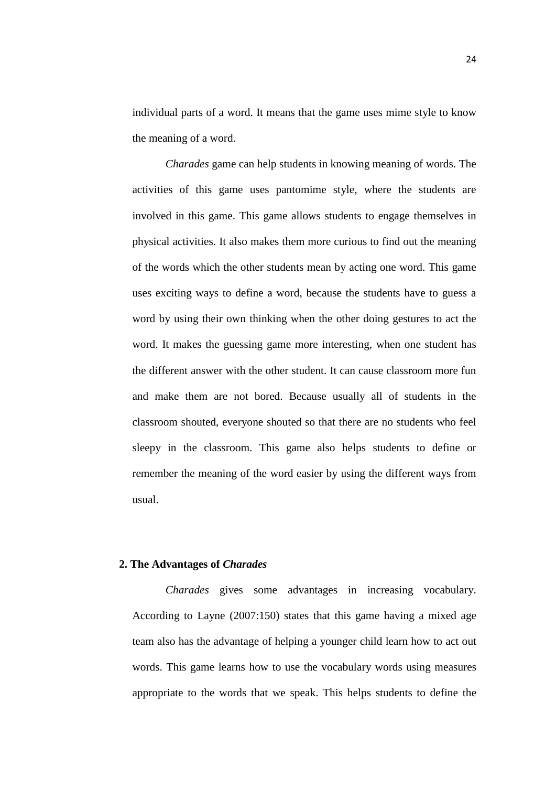individual parts of a word. It means that the game uses mime style to know the meaning of a word.

*Charades* game can help students in knowing meaning of words. The activities of this game uses pantomime style, where the students are involved in this game. This game allows students to engage themselves in physical activities. It also makes them more curious to find out the meaning of the words which the other students mean by acting one word. This game uses exciting ways to define a word, because the students have to guess a word by using their own thinking when the other doing gestures to act the word. It makes the guessing game more interesting, when one student has the different answer with the other student. It can cause classroom more fun and make them are not bored. Because usually all of students in the classroom shouted, everyone shouted so that there are no students who feel sleepy in the classroom. This game also helps students to define or remember the meaning of the word easier by using the different ways from usual.

### **2. The Advantages of** *Charades*

*Charades* gives some advantages in increasing vocabulary. According to Layne (2007:150) states that this game having a mixed age team also has the advantage of helping a younger child learn how to act out words. This game learns how to use the vocabulary words using measures appropriate to the words that we speak. This helps students to define the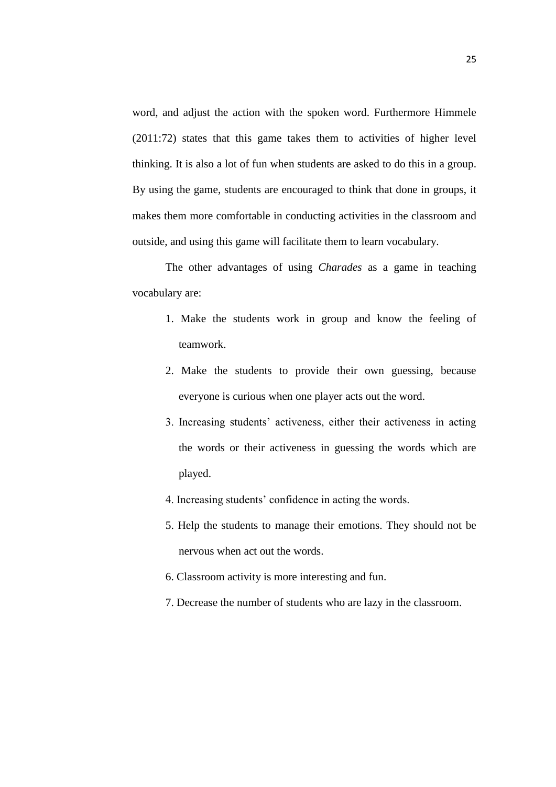word, and adjust the action with the spoken word. Furthermore Himmele (2011:72) states that this game takes them to activities of higher level thinking. It is also a lot of fun when students are asked to do this in a group. By using the game, students are encouraged to think that done in groups, it makes them more comfortable in conducting activities in the classroom and outside, and using this game will facilitate them to learn vocabulary.

The other advantages of using *Charades* as a game in teaching vocabulary are:

- 1. Make the students work in group and know the feeling of teamwork.
- 2. Make the students to provide their own guessing, because everyone is curious when one player acts out the word.
- 3. Increasing students' activeness, either their activeness in acting the words or their activeness in guessing the words which are played.
- 4. Increasing students' confidence in acting the words.
- 5. Help the students to manage their emotions. They should not be nervous when act out the words.
- 6. Classroom activity is more interesting and fun.
- 7. Decrease the number of students who are lazy in the classroom.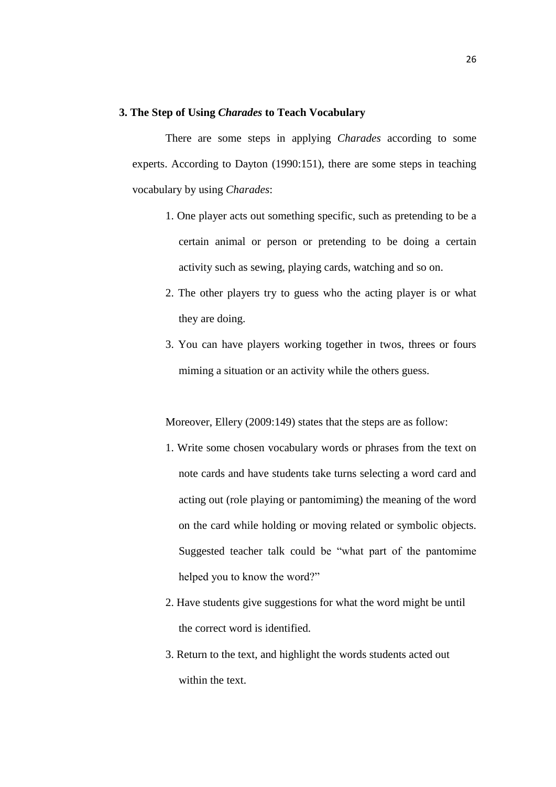#### **3. The Step of Using** *Charades* **to Teach Vocabulary**

There are some steps in applying *Charades* according to some experts. According to Dayton (1990:151), there are some steps in teaching vocabulary by using *Charades*:

- 1. One player acts out something specific, such as pretending to be a certain animal or person or pretending to be doing a certain activity such as sewing, playing cards, watching and so on.
- 2. The other players try to guess who the acting player is or what they are doing.
- 3. You can have players working together in twos, threes or fours miming a situation or an activity while the others guess.

Moreover, Ellery (2009:149) states that the steps are as follow:

- 1. Write some chosen vocabulary words or phrases from the text on note cards and have students take turns selecting a word card and acting out (role playing or pantomiming) the meaning of the word on the card while holding or moving related or symbolic objects. Suggested teacher talk could be "what part of the pantomime helped you to know the word?"
- 2. Have students give suggestions for what the word might be until the correct word is identified.
- 3. Return to the text, and highlight the words students acted out within the text.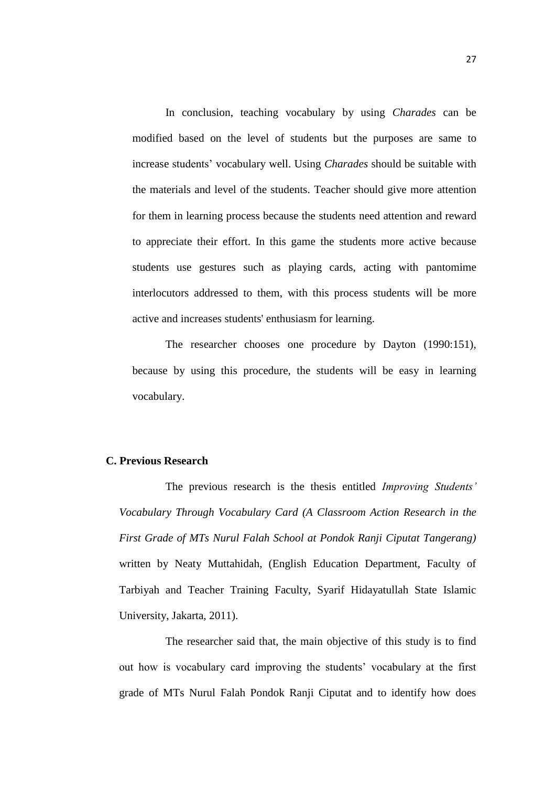In conclusion, teaching vocabulary by using *Charades* can be modified based on the level of students but the purposes are same to increase students' vocabulary well. Using *Charades* should be suitable with the materials and level of the students. Teacher should give more attention for them in learning process because the students need attention and reward to appreciate their effort. In this game the students more active because students use gestures such as playing cards, acting with pantomime interlocutors addressed to them, with this process students will be more active and increases students' enthusiasm for learning.

The researcher chooses one procedure by Dayton (1990:151), because by using this procedure, the students will be easy in learning vocabulary.

## **C. Previous Research**

The previous research is the thesis entitled *Improving Students' Vocabulary Through Vocabulary Card (A Classroom Action Research in the First Grade of MTs Nurul Falah School at Pondok Ranji Ciputat Tangerang)*  written by Neaty Muttahidah, (English Education Department, Faculty of Tarbiyah and Teacher Training Faculty, Syarif Hidayatullah State Islamic University, Jakarta, 2011).

The researcher said that, the main objective of this study is to find out how is vocabulary card improving the students' vocabulary at the first grade of MTs Nurul Falah Pondok Ranji Ciputat and to identify how does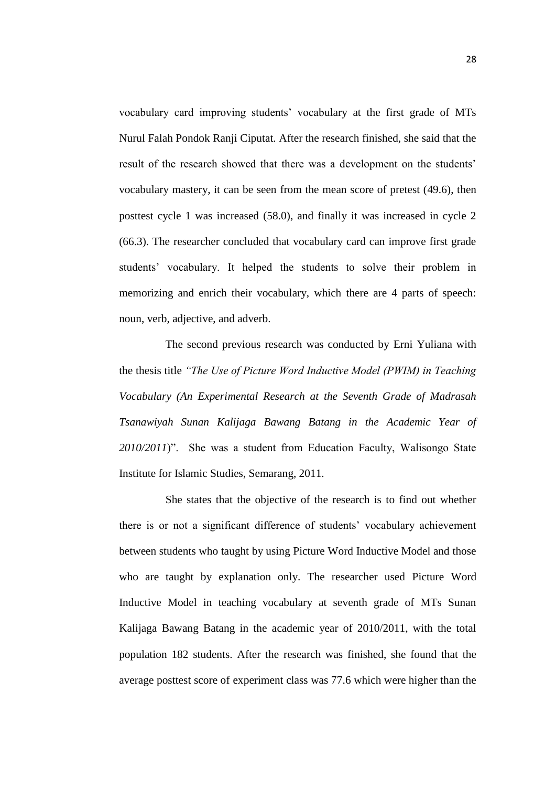vocabulary card improving students' vocabulary at the first grade of MTs Nurul Falah Pondok Ranji Ciputat. After the research finished, she said that the result of the research showed that there was a development on the students' vocabulary mastery, it can be seen from the mean score of pretest (49.6), then posttest cycle 1 was increased (58.0), and finally it was increased in cycle 2 (66.3). The researcher concluded that vocabulary card can improve first grade students' vocabulary. It helped the students to solve their problem in memorizing and enrich their vocabulary, which there are 4 parts of speech: noun, verb, adjective, and adverb.

The second previous research was conducted by Erni Yuliana with the thesis title *"The Use of Picture Word Inductive Model (PWIM) in Teaching Vocabulary (An Experimental Research at the Seventh Grade of Madrasah Tsanawiyah Sunan Kalijaga Bawang Batang in the Academic Year of 2010/2011*)". She was a student from Education Faculty, Walisongo State Institute for Islamic Studies, Semarang, 2011.

She states that the objective of the research is to find out whether there is or not a significant difference of students' vocabulary achievement between students who taught by using Picture Word Inductive Model and those who are taught by explanation only. The researcher used Picture Word Inductive Model in teaching vocabulary at seventh grade of MTs Sunan Kalijaga Bawang Batang in the academic year of 2010/2011, with the total population 182 students. After the research was finished, she found that the average posttest score of experiment class was 77.6 which were higher than the